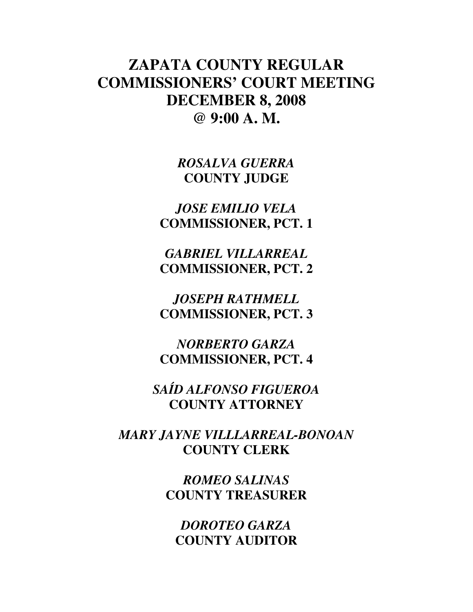# **ZAPATA COUNTY REGULAR COMMISSIONERS' COURT MEETING DECEMBER 8, 2008 @ 9:00 A. M.**

*ROSALVA GUERRA*  **COUNTY JUDGE** 

*JOSE EMILIO VELA*  **COMMISSIONER, PCT. 1** 

*GABRIEL VILLARREAL*  **COMMISSIONER, PCT. 2** 

*JOSEPH RATHMELL*  **COMMISSIONER, PCT. 3** 

*NORBERTO GARZA*  **COMMISSIONER, PCT. 4** 

*SAÍD ALFONSO FIGUEROA*  **COUNTY ATTORNEY** 

*MARY JAYNE VILLLARREAL-BONOAN*  **COUNTY CLERK** 

> *ROMEO SALINAS*  **COUNTY TREASURER**

*DOROTEO GARZA*  **COUNTY AUDITOR**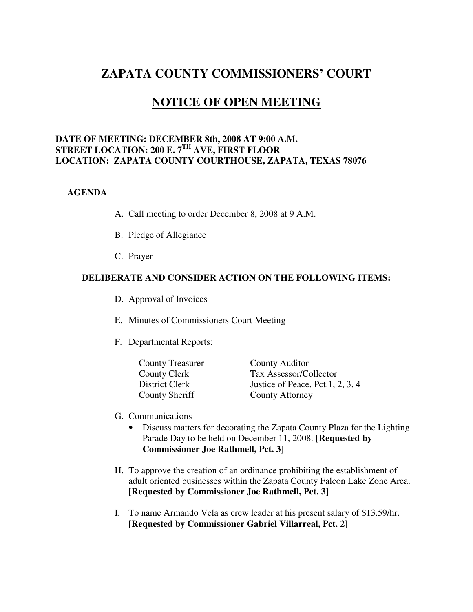# **ZAPATA COUNTY COMMISSIONERS' COURT**

# **NOTICE OF OPEN MEETING**

#### **DATE OF MEETING: DECEMBER 8th, 2008 AT 9:00 A.M. STREET LOCATION: 200 E. 7TH AVE, FIRST FLOOR LOCATION: ZAPATA COUNTY COURTHOUSE, ZAPATA, TEXAS 78076**

#### **AGENDA**

- A. Call meeting to order December 8, 2008 at 9 A.M.
- B. Pledge of Allegiance
- C. Prayer

#### **DELIBERATE AND CONSIDER ACTION ON THE FOLLOWING ITEMS:**

- D. Approval of Invoices
- E. Minutes of Commissioners Court Meeting
- F. Departmental Reports:

| <b>County Treasurer</b> | County Auditor                   |
|-------------------------|----------------------------------|
| County Clerk            | Tax Assessor/Collector           |
| District Clerk          | Justice of Peace, Pct.1, 2, 3, 4 |
| <b>County Sheriff</b>   | <b>County Attorney</b>           |

- G. Communications
	- Discuss matters for decorating the Zapata County Plaza for the Lighting Parade Day to be held on December 11, 2008. **[Requested by Commissioner Joe Rathmell, Pct. 3]**
- H. To approve the creation of an ordinance prohibiting the establishment of adult oriented businesses within the Zapata County Falcon Lake Zone Area. **[Requested by Commissioner Joe Rathmell, Pct. 3]**
- I. To name Armando Vela as crew leader at his present salary of \$13.59/hr. **[Requested by Commissioner Gabriel Villarreal, Pct. 2]**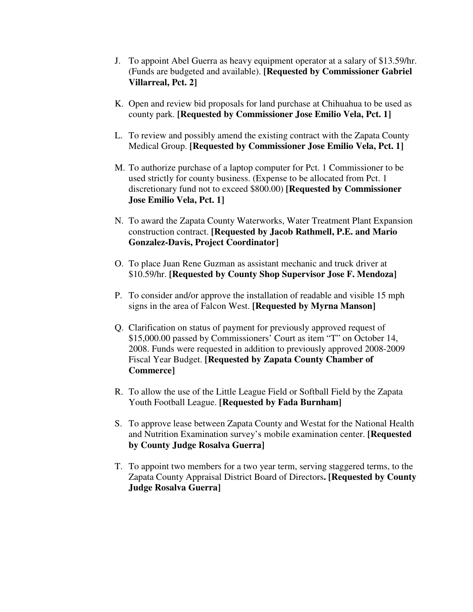- J. To appoint Abel Guerra as heavy equipment operator at a salary of \$13.59/hr. (Funds are budgeted and available). **[Requested by Commissioner Gabriel Villarreal, Pct. 2]**
- K. Open and review bid proposals for land purchase at Chihuahua to be used as county park. **[Requested by Commissioner Jose Emilio Vela, Pct. 1]**
- L. To review and possibly amend the existing contract with the Zapata County Medical Group. **[Requested by Commissioner Jose Emilio Vela, Pct. 1]**
- M. To authorize purchase of a laptop computer for Pct. 1 Commissioner to be used strictly for county business. (Expense to be allocated from Pct. 1 discretionary fund not to exceed \$800.00) **[Requested by Commissioner Jose Emilio Vela, Pct. 1]**
- N. To award the Zapata County Waterworks, Water Treatment Plant Expansion construction contract. **[Requested by Jacob Rathmell, P.E. and Mario Gonzalez-Davis, Project Coordinator]**
- O. To place Juan Rene Guzman as assistant mechanic and truck driver at \$10.59/hr. **[Requested by County Shop Supervisor Jose F. Mendoza]**
- P. To consider and/or approve the installation of readable and visible 15 mph signs in the area of Falcon West. **[Requested by Myrna Manson]**
- Q. Clarification on status of payment for previously approved request of \$15,000.00 passed by Commissioners' Court as item "T" on October 14, 2008. Funds were requested in addition to previously approved 2008-2009 Fiscal Year Budget. **[Requested by Zapata County Chamber of Commerce]**
- R. To allow the use of the Little League Field or Softball Field by the Zapata Youth Football League. **[Requested by Fada Burnham]**
- S. To approve lease between Zapata County and Westat for the National Health and Nutrition Examination survey's mobile examination center. **[Requested by County Judge Rosalva Guerra]**
- T. To appoint two members for a two year term, serving staggered terms, to the Zapata County Appraisal District Board of Directors**. [Requested by County Judge Rosalva Guerra]**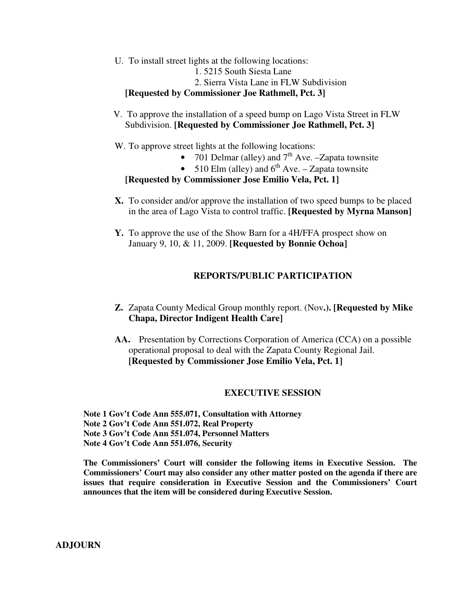U. To install street lights at the following locations:

1. 5215 South Siesta Lane

2. Sierra Vista Lane in FLW Subdivision

#### **[Requested by Commissioner Joe Rathmell, Pct. 3]**

 V. To approve the installation of a speed bump on Lago Vista Street in FLW Subdivision. **[Requested by Commissioner Joe Rathmell, Pct. 3]** 

W. To approve street lights at the following locations:

- 701 Delmar (alley) and  $7<sup>th</sup>$  Ave. –Zapata townsite
- 510 Elm (alley) and  $6^{th}$  Ave. Zapata townsite

**[Requested by Commissioner Jose Emilio Vela, Pct. 1]** 

- **X.** To consider and/or approve the installation of two speed bumps to be placed in the area of Lago Vista to control traffic. **[Requested by Myrna Manson]**
- **Y.** To approve the use of the Show Barn for a 4H/FFA prospect show on January 9, 10, & 11, 2009. **[Requested by Bonnie Ochoa]**

### **REPORTS/PUBLIC PARTICIPATION**

- **Z.** Zapata County Medical Group monthly report. (Nov**.). [Requested by Mike Chapa, Director Indigent Health Care]**
- **AA.** Presentation by Corrections Corporation of America (CCA) on a possible operational proposal to deal with the Zapata County Regional Jail. **[Requested by Commissioner Jose Emilio Vela, Pct. 1]**

### **EXECUTIVE SESSION**

**Note 1 Gov't Code Ann 555.071, Consultation with Attorney Note 2 Gov't Code Ann 551.072, Real Property Note 3 Gov't Code Ann 551.074, Personnel Matters Note 4 Gov't Code Ann 551.076, Security** 

**The Commissioners' Court will consider the following items in Executive Session. The Commissioners' Court may also consider any other matter posted on the agenda if there are issues that require consideration in Executive Session and the Commissioners' Court announces that the item will be considered during Executive Session.** 

**ADJOURN**